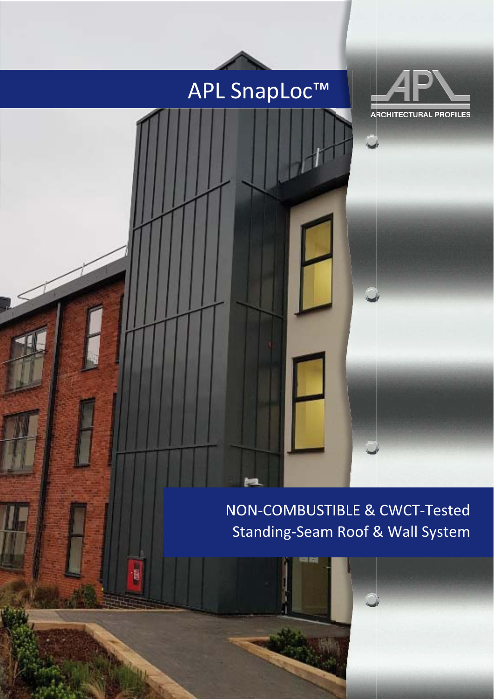# APL SnapLoc™

B



NON-COMBUSTIBLE & CWCT-Tested Standing-Seam Roof & Wall System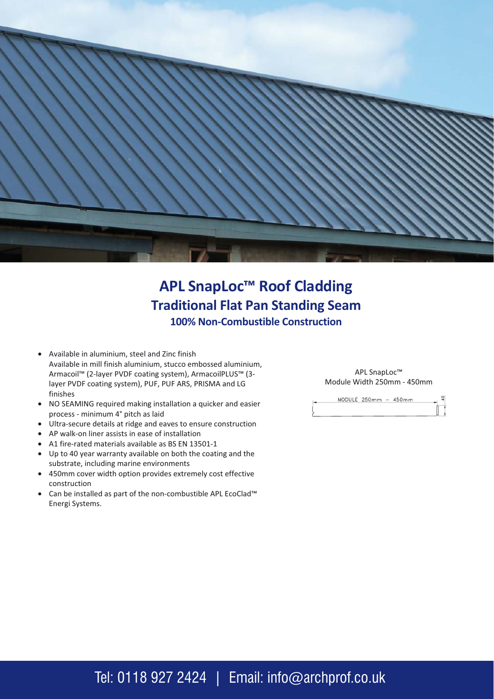

#### APL SnapLoc<sup>™</sup> Roof Cladding **Traditional Flat Pan Standing Seam 100% Non-Combustible Construction**

- Available in aluminium, steel and Zinc finish Available in mill finish aluminium, stucco embossed aluminium, Armacoil™ (2-layer PVDF coating system), ArmacoilPLUS™ (3layer PVDF coating system), PUF, PUF ARS, PRISMA and LG finishes
- NO SEAMING required making installation a quicker and easier  $\bullet$ process - minimum 4° pitch as laid
- Ultra-secure details at ridge and eaves to ensure construction
- AP walk-on liner assists in ease of installation  $\bullet$
- A1 fire-rated materials available as BS EN 13501-1  $\bullet$
- Up to 40 year warranty available on both the coating and the substrate, including marine environments
- 450mm cover width option provides extremely cost effective construction
- Can be installed as part of the non-combustible APL EcoClad™ Energi Systems.

#### APL SnapLoc™ Module Width 250mm - 450mm



#### Tel: 0118 927 2424 | Email: info@archprof.co.uk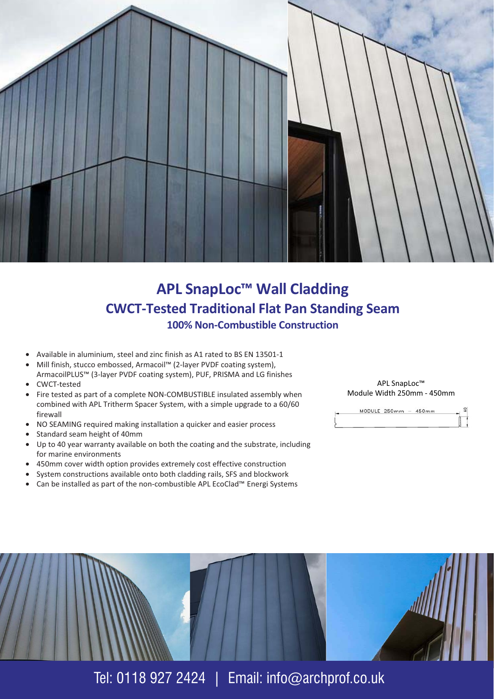#### APL SnapLoc™ Wall Cladding **CWCT-Tested Traditional Flat Pan Standing Seam 100% Non-Combustible Construction**

- Available in aluminium, steel and zinc finish as A1 rated to BS EN 13501-1
- Mill finish, stucco embossed, Armacoil™ (2-layer PVDF coating system),  $\bullet$
- ArmacoilPLUS™ (3-layer PVDF coating system), PUF, PRISMA and LG finishes CWCT-tested
- Fire tested as part of a complete NON-COMBUSTIBLE insulated assembly when combined with APL Tritherm Spacer System, with a simple upgrade to a 60/60 firewall
- NO SEAMING required making installation a quicker and easier process
- Standard seam height of 40mm  $\bullet$
- Up to 40 year warranty available on both the coating and the substrate, including  $\bullet$ for marine environments
- 450mm cover width option provides extremely cost effective construction
- System constructions available onto both cladding rails, SFS and blockwork
- Can be installed as part of the non-combustible APL EcoClad™ Energi Systems

APL SnapLoc™ Module Width 250mm - 450mm



### Tel: 0118 927 2424 | Email: info@archprof.co.uk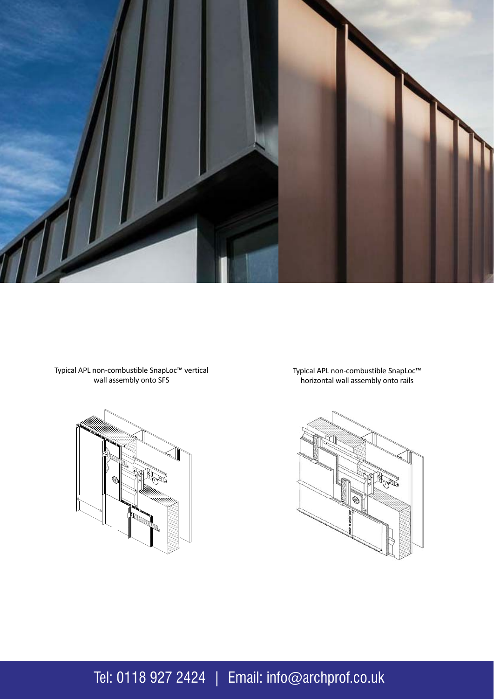







## Tel: 0118 927 2424 | Email: info@archprof.co.uk